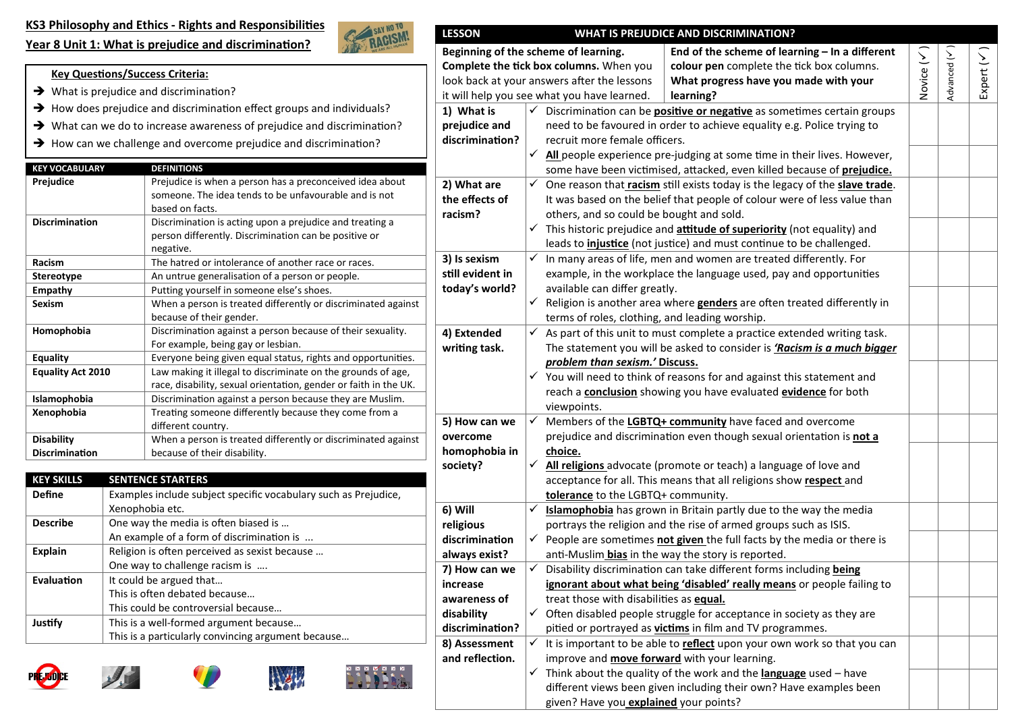**Year 8 Unit 1: What is prejudice and discrimina�on?**

**Key Questions/Success Criteria:**  $\rightarrow$  What is prejudice and discrimination?



discrimination?

**2) What are the effects of racism?**

**3) Is sexism s�ll evident in today's world?**

**4) Extended wri�ng task.**

**5) How can we overcome homophobia in society?**

**7) How can we increase awareness of disability**  discrimination?

**8) Assessment and reflection.**

**6) Will religious**  discrimination **always exist?**

#### $\rightarrow$  How does prejudice and discrimination effect groups and individuals? **LESSON WHAT IS PREJUDICE AND DISCRIMINATION? Beginning of the scheme of learning. Complete the tick box columns.** When you look back at your answers after the lessons it will help you see what you have learned. **End of the scheme of learning – In a different colour pen** complete the tick box columns. **What progress have you made with your learning? 1) What is prejudice and**  Discrimina�on can be **posi�ve or nega�ve** as some�mes certain groups need to be favoured in order to achieve equality e.g. Police trying to

recruit more female officers.

available can differ greatly.

*problem than sexism.'* **Discuss.**

**tolerance** to the LGBTQ+ community.

treat those with disabili�es as **equal.**

anti-Muslim **bias** in the way the story is reported.

improve and **move forward** with your learning.

given? Have you **explained** your points?

viewpoints.

**choice.**

others, and so could be bought and sold.

terms of roles, clothing, and leading worship.

 $\checkmark$  All people experience pre-judging at some time in their lives. However, some have been vic�mised, atacked, even killed because of **prejudice.**

 $\checkmark$  This historic prejudice and **attitude of superiority** (not equality) and leads to *injustice* (not justice) and must continue to be challenged.

 In many areas of life, men and women are treated differently. For example, in the workplace the language used, pay and opportunities

 $\checkmark$  Religion is another area where **genders** are often treated differently in

 As part of this unit to must complete a practice extended writing task. The statement you will be asked to consider is *'Racism is a much bigger* 

 $\checkmark$  You will need to think of reasons for and against this statement and reach a **conclusion** showing you have evaluated **evidence** for both

 Members of the **LGBTQ+ community** have faced and overcome prejudice and discrimination even though sexual orientation is not a

 **All religions** advocate (promote or teach) a language of love and acceptance for all. This means that all religions show **respect** and

 **Islamophobia** has grown in Britain partly due to the way the media portrays the religion and the rise of armed groups such as ISIS. People are sometimes **not given** the full facts by the media or there is

Disability discrimination can take different forms including **being ignorant about what being 'disabled' really means** or people failing to

 $\checkmark$  Often disabled people struggle for acceptance in society as they are pitied or portrayed as **victims** in film and TV programmes.

 $\checkmark$  Think about the quality of the work and the **language** used – have different views been given including their own? Have examples been

It is important to be able to **reflect** upon your own work so that you can

One reason that *racism* still exists today is the legacy of the **slave trade**. It was based on the belief that people of colour were of less value than

Novice (

Advanced (

Expert (

 $\widehat{\phantom{1}}$ 

 $\sqrt{}$ 

 $\widehat{\phantom{1}}$ 

| $\rightarrow$ What can we do to increase awareness of prejudice and discrimination? |
|-------------------------------------------------------------------------------------|
| $\rightarrow$ How can we challenge and overcome prejudice and discrimination?       |

| <b>KEY VOCABULARY</b>                                                    | <b>DEFINITIONS</b>                                               |
|--------------------------------------------------------------------------|------------------------------------------------------------------|
| Prejudice                                                                | Prejudice is when a person has a preconceived idea about         |
|                                                                          | someone. The idea tends to be unfavourable and is not            |
|                                                                          | based on facts.                                                  |
| <b>Discrimination</b>                                                    | Discrimination is acting upon a prejudice and treating a         |
|                                                                          | person differently. Discrimination can be positive or            |
|                                                                          | negative.                                                        |
| Racism                                                                   | The hatred or intolerance of another race or races.              |
| <b>Stereotype</b>                                                        | An untrue generalisation of a person or people.                  |
| <b>Empathy</b>                                                           | Putting yourself in someone else's shoes.                        |
| <b>Sexism</b>                                                            | When a person is treated differently or discriminated against    |
|                                                                          | because of their gender.                                         |
| Homophobia                                                               | Discrimination against a person because of their sexuality.      |
|                                                                          | For example, being gay or lesbian.                               |
| <b>Equality</b>                                                          | Everyone being given equal status, rights and opportunities.     |
| <b>Equality Act 2010</b>                                                 | Law making it illegal to discriminate on the grounds of age,     |
|                                                                          | race, disability, sexual orientation, gender or faith in the UK. |
| Discrimination against a person because they are Muslim.<br>Islamophobia |                                                                  |
| Xenophobia                                                               | Treating someone differently because they come from a            |
|                                                                          | different country.                                               |
| <b>Disability</b>                                                        | When a person is treated differently or discriminated against    |
| <b>Discrimination</b>                                                    | because of their disability.                                     |

| <b>KEY SKILLS</b> | <b>SENTENCE STARTERS</b>                                        |  |  |  |
|-------------------|-----------------------------------------------------------------|--|--|--|
| <b>Define</b>     | Examples include subject specific vocabulary such as Prejudice, |  |  |  |
|                   | Xenophobia etc.                                                 |  |  |  |
| <b>Describe</b>   | One way the media is often biased is                            |  |  |  |
|                   | An example of a form of discrimination is                       |  |  |  |
| <b>Explain</b>    | Religion is often perceived as sexist because                   |  |  |  |
|                   | One way to challenge racism is                                  |  |  |  |
| Evaluation        | It could be argued that                                         |  |  |  |
|                   | This is often debated because                                   |  |  |  |
|                   | This could be controversial because                             |  |  |  |
| Justify           | This is a well-formed argument because                          |  |  |  |
|                   | This is a particularly convincing argument because              |  |  |  |









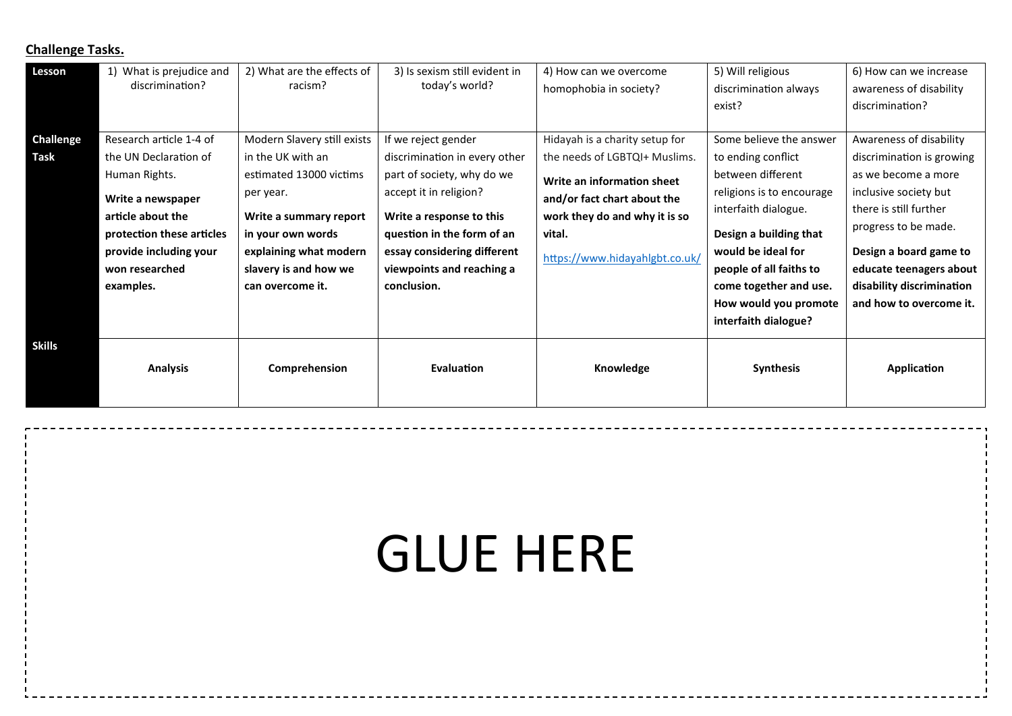# **Challenge Tasks.**

| Lesson           | What is prejudice and<br>discrimination?                                                                                                      | 2) What are the effects of<br>racism?                                                                                                                      | 3) Is sexism still evident in<br>today's world?                                                                                                                                           | 4) How can we overcome<br>homophobia in society?                                                                                       | 5) Will religious<br>discrimination always<br>exist?                                                                                                                                                                         | 6) How can we increase<br>awareness of disability<br>discrimination?                                                                                                                                        |
|------------------|-----------------------------------------------------------------------------------------------------------------------------------------------|------------------------------------------------------------------------------------------------------------------------------------------------------------|-------------------------------------------------------------------------------------------------------------------------------------------------------------------------------------------|----------------------------------------------------------------------------------------------------------------------------------------|------------------------------------------------------------------------------------------------------------------------------------------------------------------------------------------------------------------------------|-------------------------------------------------------------------------------------------------------------------------------------------------------------------------------------------------------------|
| <b>Challenge</b> | Research article 1-4 of                                                                                                                       | Modern Slavery still exists                                                                                                                                | If we reject gender                                                                                                                                                                       | Hidayah is a charity setup for                                                                                                         | Some believe the answer                                                                                                                                                                                                      | Awareness of disability                                                                                                                                                                                     |
| Task             | the UN Declaration of                                                                                                                         | in the UK with an                                                                                                                                          | discrimination in every other                                                                                                                                                             | the needs of LGBTQI+ Muslims.                                                                                                          | to ending conflict                                                                                                                                                                                                           | discrimination is growing                                                                                                                                                                                   |
|                  | Human Rights.<br>Write a newspaper<br>article about the<br>protection these articles<br>provide including your<br>won researched<br>examples. | estimated 13000 victims<br>per year.<br>Write a summary report<br>in your own words<br>explaining what modern<br>slavery is and how we<br>can overcome it. | part of society, why do we<br>accept it in religion?<br>Write a response to this<br>question in the form of an<br>essay considering different<br>viewpoints and reaching a<br>conclusion. | Write an information sheet<br>and/or fact chart about the<br>work they do and why it is so<br>vital.<br>https://www.hidayahlgbt.co.uk/ | between different<br>religions is to encourage<br>interfaith dialogue.<br>Design a building that<br>would be ideal for<br>people of all faiths to<br>come together and use.<br>How would you promote<br>interfaith dialogue? | as we become a more<br>inclusive society but<br>there is still further<br>progress to be made.<br>Design a board game to<br>educate teenagers about<br>disability discrimination<br>and how to overcome it. |
| Skills           | <b>Analysis</b>                                                                                                                               | Comprehension                                                                                                                                              | Evaluation                                                                                                                                                                                | Knowledge                                                                                                                              | <b>Synthesis</b>                                                                                                                                                                                                             | Application                                                                                                                                                                                                 |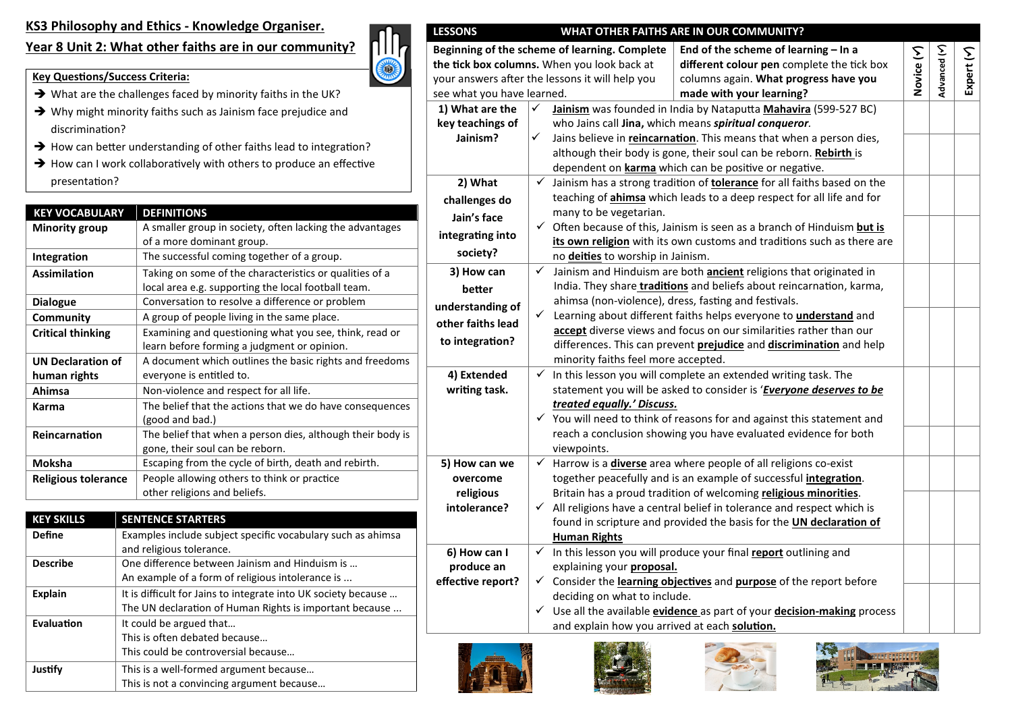### **KS3 Philosophy and Ethics - Knowledge Organiser.**

## **Year 8 Unit 2: What other faiths are in our community?**



- $\rightarrow$  What are the challenges faced by minority faiths in the UK?
- → Why might minority faiths such as Jainism face prejudice and discrimination?
- $\rightarrow$  How can better understanding of other faiths lead to integration?
- $\rightarrow$  How can I work collaboratively with others to produce an effective presentation?

| <b>KEY VOCABULARY</b>    | <b>DEFINITIONS</b>                                         |
|--------------------------|------------------------------------------------------------|
| <b>Minority group</b>    | A smaller group in society, often lacking the advantages   |
|                          | of a more dominant group.                                  |
| Integration              | The successful coming together of a group.                 |
| <b>Assimilation</b>      | Taking on some of the characteristics or qualities of a    |
|                          | local area e.g. supporting the local football team.        |
| <b>Dialogue</b>          | Conversation to resolve a difference or problem            |
| Community                | A group of people living in the same place.                |
| <b>Critical thinking</b> | Examining and questioning what you see, think, read or     |
|                          | learn before forming a judgment or opinion.                |
| <b>UN Declaration of</b> | A document which outlines the basic rights and freedoms    |
| human rights             | everyone is entitled to.                                   |
| Ahimsa                   | Non-violence and respect for all life.                     |
| Karma                    | The belief that the actions that we do have consequences   |
|                          | (good and bad.)                                            |
| Reincarnation            | The belief that when a person dies, although their body is |
|                          | gone, their soul can be reborn.                            |
| <b>Moksha</b>            | Escaping from the cycle of birth, death and rebirth.       |
| Religious tolerance      | People allowing others to think or practice                |
|                          | other religions and beliefs.                               |

| <b>KEY SKILLS</b> | <b>SENTENCE STARTERS</b>                                       |
|-------------------|----------------------------------------------------------------|
| <b>Define</b>     | Examples include subject specific vocabulary such as ahimsa    |
|                   | and religious tolerance.                                       |
| <b>Describe</b>   | One difference between Jainism and Hinduism is                 |
|                   | An example of a form of religious intolerance is               |
| <b>Explain</b>    | It is difficult for Jains to integrate into UK society because |
|                   | The UN declaration of Human Rights is important because        |
| Evaluation        | It could be argued that                                        |
|                   | This is often debated because                                  |
|                   | This could be controversial because                            |
| Justify           | This is a well-formed argument because                         |
|                   | This is not a convincing argument because                      |



| <b>LESSONS</b>                                                                                                                                                                     |                                                      |                                                                       | WHAT OTHER FAITHS ARE IN OUR COMMUNITY?                                              |            |             |            |  |
|------------------------------------------------------------------------------------------------------------------------------------------------------------------------------------|------------------------------------------------------|-----------------------------------------------------------------------|--------------------------------------------------------------------------------------|------------|-------------|------------|--|
| Beginning of the scheme of learning. Complete<br>End of the scheme of learning - In a                                                                                              |                                                      |                                                                       |                                                                                      |            |             |            |  |
| the tick box columns. When you look back at                                                                                                                                        |                                                      |                                                                       | different colour pen complete the tick box                                           | Novice (Y) | Advanced (Y | Expert (Y) |  |
| your answers after the lessons it will help you                                                                                                                                    |                                                      |                                                                       | columns again. What progress have you                                                |            |             |            |  |
| see what you have learned.                                                                                                                                                         |                                                      |                                                                       | made with your learning?                                                             |            |             |            |  |
| 1) What are the                                                                                                                                                                    | ✓                                                    |                                                                       | Jainism was founded in India by Nataputta Mahavira (599-527 BC)                      |            |             |            |  |
| key teachings of                                                                                                                                                                   |                                                      |                                                                       | who Jains call Jina, which means spiritual conqueror.                                |            |             |            |  |
| Jainism?                                                                                                                                                                           | ✓                                                    |                                                                       | Jains believe in reincarnation. This means that when a person dies,                  |            |             |            |  |
|                                                                                                                                                                                    |                                                      |                                                                       | although their body is gone, their soul can be reborn. Rebirth is                    |            |             |            |  |
|                                                                                                                                                                                    |                                                      |                                                                       | dependent on <b>karma</b> which can be positive or negative.                         |            |             |            |  |
| 2) What                                                                                                                                                                            | $\checkmark$                                         |                                                                       | Jainism has a strong tradition of <b>tolerance</b> for all faiths based on the       |            |             |            |  |
| challenges do                                                                                                                                                                      |                                                      |                                                                       | teaching of <i>ahimsa</i> which leads to a deep respect for all life and for         |            |             |            |  |
| Jain's face                                                                                                                                                                        |                                                      | many to be vegetarian.                                                |                                                                                      |            |             |            |  |
| integrating into                                                                                                                                                                   |                                                      |                                                                       | $\checkmark$ Often because of this, Jainism is seen as a branch of Hinduism but is   |            |             |            |  |
| society?                                                                                                                                                                           |                                                      |                                                                       | its own religion with its own customs and traditions such as there are               |            |             |            |  |
|                                                                                                                                                                                    |                                                      | no deities to worship in Jainism.                                     |                                                                                      |            |             |            |  |
| 3) How can                                                                                                                                                                         | $\checkmark$                                         |                                                                       | Jainism and Hinduism are both <b>ancient</b> religions that originated in            |            |             |            |  |
| better                                                                                                                                                                             |                                                      |                                                                       | India. They share traditions and beliefs about reincarnation, karma,                 |            |             |            |  |
| understanding of                                                                                                                                                                   | ahimsa (non-violence), dress, fasting and festivals. |                                                                       |                                                                                      |            |             |            |  |
| $\checkmark$<br>Learning about different faiths helps everyone to <i>understand</i> and<br>other faiths lead<br>accept diverse views and focus on our similarities rather than our |                                                      |                                                                       |                                                                                      |            |             |            |  |
| to integration?                                                                                                                                                                    |                                                      |                                                                       | differences. This can prevent prejudice and discrimination and help                  |            |             |            |  |
|                                                                                                                                                                                    |                                                      | minority faiths feel more accepted.                                   |                                                                                      |            |             |            |  |
| 4) Extended                                                                                                                                                                        | ✓                                                    |                                                                       | In this lesson you will complete an extended writing task. The                       |            |             |            |  |
| writing task.                                                                                                                                                                      |                                                      |                                                                       | statement you will be asked to consider is 'Everyone deserves to be                  |            |             |            |  |
|                                                                                                                                                                                    |                                                      | treated equally.' Discuss.                                            |                                                                                      |            |             |            |  |
|                                                                                                                                                                                    |                                                      |                                                                       | $\checkmark$ You will need to think of reasons for and against this statement and    |            |             |            |  |
|                                                                                                                                                                                    |                                                      | reach a conclusion showing you have evaluated evidence for both       |                                                                                      |            |             |            |  |
|                                                                                                                                                                                    |                                                      | viewpoints.                                                           |                                                                                      |            |             |            |  |
| 5) How can we                                                                                                                                                                      | $\checkmark$                                         |                                                                       | Harrow is a <i>diverse</i> area where people of all religions co-exist               |            |             |            |  |
| overcome                                                                                                                                                                           |                                                      |                                                                       | together peacefully and is an example of successful <i>integration</i> .             |            |             |            |  |
| religious                                                                                                                                                                          |                                                      | Britain has a proud tradition of welcoming religious minorities.      |                                                                                      |            |             |            |  |
| intolerance?                                                                                                                                                                       | ✓                                                    | All religions have a central belief in tolerance and respect which is |                                                                                      |            |             |            |  |
|                                                                                                                                                                                    |                                                      | found in scripture and provided the basis for the UN declaration of   |                                                                                      |            |             |            |  |
|                                                                                                                                                                                    |                                                      | <b>Human Rights</b>                                                   |                                                                                      |            |             |            |  |
| 6) How can I                                                                                                                                                                       | $\checkmark$                                         | In this lesson you will produce your final report outlining and       |                                                                                      |            |             |            |  |
| produce an                                                                                                                                                                         |                                                      | explaining your proposal.                                             |                                                                                      |            |             |            |  |
| effective report?                                                                                                                                                                  |                                                      |                                                                       | $\checkmark$ Consider the learning objectives and purpose of the report before       |            |             |            |  |
|                                                                                                                                                                                    |                                                      | deciding on what to include.                                          |                                                                                      |            |             |            |  |
|                                                                                                                                                                                    | $\checkmark$                                         |                                                                       | Use all the available <b>evidence</b> as part of your <b>decision-making</b> process |            |             |            |  |
|                                                                                                                                                                                    |                                                      | and explain how you arrived at each solution.                         |                                                                                      |            |             |            |  |
|                                                                                                                                                                                    |                                                      |                                                                       | <b>TABLE IN</b>                                                                      |            |             |            |  |





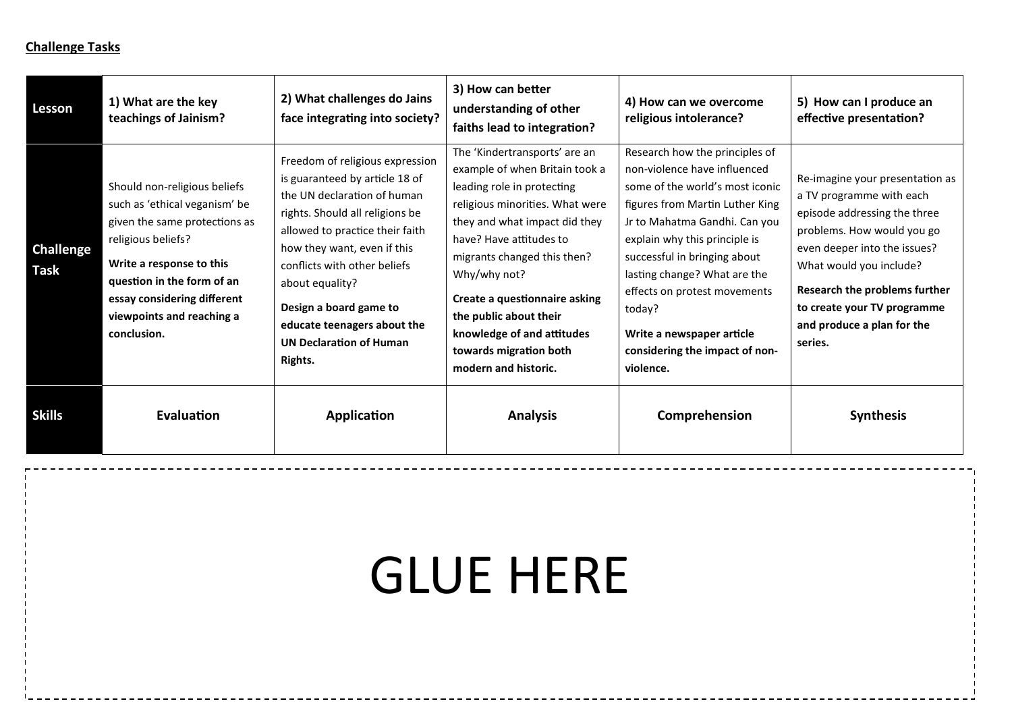### **Challenge Tasks**

| Lesson                          | 1) What are the key<br>teachings of Jainism?                                                                                                                                                                                                              | 2) What challenges do Jains<br>face integrating into society?                                                                                                                                                                                                                                                                                                  | 3) How can better<br>understanding of other<br>faiths lead to integration?                                                                                                                                                                                                                                                                                                             | 4) How can we overcome<br>religious intolerance?                                                                                                                                                                                                                                                                                                                                             | 5) How can I produce an<br>effective presentation?                                                                                                                                                                                                                                            |
|---------------------------------|-----------------------------------------------------------------------------------------------------------------------------------------------------------------------------------------------------------------------------------------------------------|----------------------------------------------------------------------------------------------------------------------------------------------------------------------------------------------------------------------------------------------------------------------------------------------------------------------------------------------------------------|----------------------------------------------------------------------------------------------------------------------------------------------------------------------------------------------------------------------------------------------------------------------------------------------------------------------------------------------------------------------------------------|----------------------------------------------------------------------------------------------------------------------------------------------------------------------------------------------------------------------------------------------------------------------------------------------------------------------------------------------------------------------------------------------|-----------------------------------------------------------------------------------------------------------------------------------------------------------------------------------------------------------------------------------------------------------------------------------------------|
| <b>Challenge</b><br><b>Task</b> | Should non-religious beliefs<br>such as 'ethical veganism' be<br>given the same protections as<br>religious beliefs?<br>Write a response to this<br>question in the form of an<br>essay considering different<br>viewpoints and reaching a<br>conclusion. | Freedom of religious expression<br>is guaranteed by article 18 of<br>the UN declaration of human<br>rights. Should all religions be<br>allowed to practice their faith<br>how they want, even if this<br>conflicts with other beliefs<br>about equality?<br>Design a board game to<br>educate teenagers about the<br><b>UN Declaration of Human</b><br>Rights. | The 'Kindertransports' are an<br>example of when Britain took a<br>leading role in protecting<br>religious minorities. What were<br>they and what impact did they<br>have? Have attitudes to<br>migrants changed this then?<br>Why/why not?<br>Create a questionnaire asking<br>the public about their<br>knowledge of and attitudes<br>towards migration both<br>modern and historic. | Research how the principles of<br>non-violence have influenced<br>some of the world's most iconic<br>figures from Martin Luther King<br>Jr to Mahatma Gandhi. Can you<br>explain why this principle is<br>successful in bringing about<br>lasting change? What are the<br>effects on protest movements<br>today?<br>Write a newspaper article<br>considering the impact of non-<br>violence. | Re-imagine your presentation as<br>a TV programme with each<br>episode addressing the three<br>problems. How would you go<br>even deeper into the issues?<br>What would you include?<br>Research the problems further<br>to create your TV programme<br>and produce a plan for the<br>series. |
| <b>Skills</b>                   | Evaluation                                                                                                                                                                                                                                                | Application                                                                                                                                                                                                                                                                                                                                                    | <b>Analysis</b>                                                                                                                                                                                                                                                                                                                                                                        | Comprehension                                                                                                                                                                                                                                                                                                                                                                                | <b>Synthesis</b>                                                                                                                                                                                                                                                                              |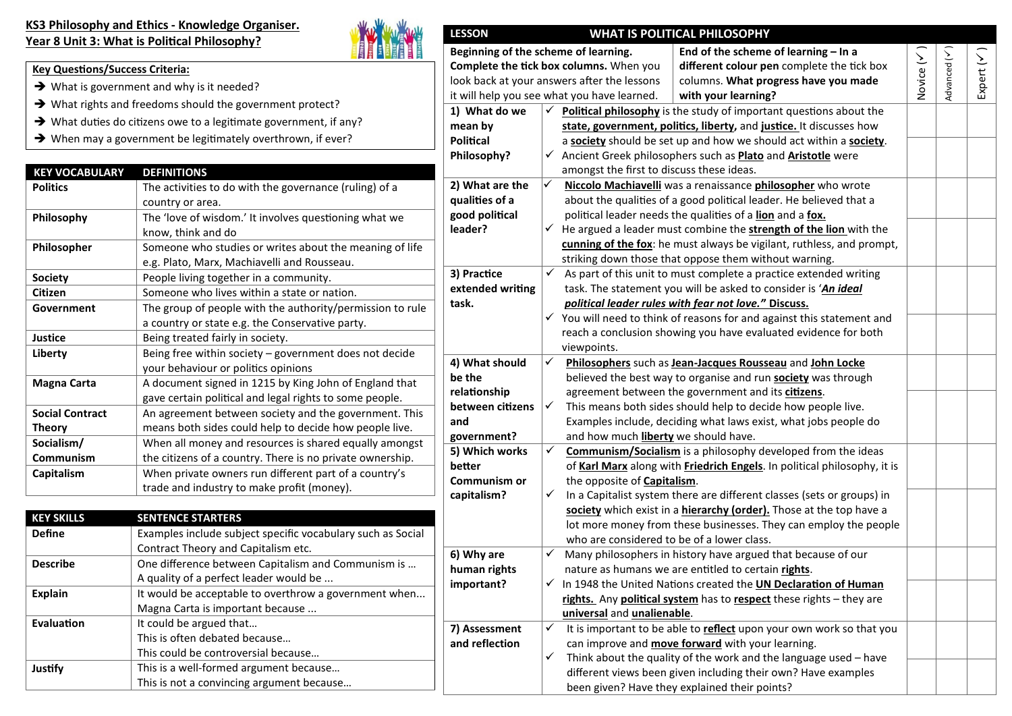#### **KS3 Philosophy and Ethics - Knowledge Organiser.** Year 8 Unit 3: What is Political Philosophy?

 $\rightarrow$  What is government and why is it needed?

**Evaluation I** It could be argued that...

This is often debated because… This could be controversial because…

This is not a convincing argument because…

**Justify** This is a well-formed argument because...

**Key Questions/Success Criteria:** 



#### **LESSON WHAT IS POLITICAL PHILOSOPHY Beginning of the scheme of learning. Complete the tick box columns.** When you look back at your answers after the lessons it will help you see what you have learned. **End of the scheme of learning – In a**  different colour pen complete the tick box columns. **What progress have you made with your learning?** Novice (  $\widehat{\phantom{1}}$ Advanced (  $\sqrt{}$ Expert (  $\sqrt{}$ **1) What do we mean by Poli�cal Philosophy?** tudy of important questions about the **liberty, and justice.** It discusses how nd how we should act within a **society**. such as **Plato** and **Aristotle** were these ideas. **2) What are the quali�es of a good poli�cal leader? Priciologie Mannie was a repaissance philosopher** who wrote d political leader. He believed that a ualities of a **lion** and a fox. mbine the **strength of the lion** with the always be vigilant, ruthless, and prompt, sose them without warning. **3) Prac�ce extended wri�ng task.** complete a practice extended writing be asked to consider is 'An ideal *political leader rules with fear not love.'***' Discuss.** sons for and against this statement and vou have evaluated evidence for both viewpoints. **4) What should be the rela�onship between ci�zens Philosophers** such as **Jean-Jacques Rousseau** and **John Locke** ganise and run **society** was through wernment and its **citizens**. Ild help to decide how people live. what laws exist, what jobs people do

 $\checkmark$  It is important to be able to **reflect** upon your own work so that you

 $\checkmark$  Think about the quality of the work and the language used – have different views been given including their own? Have examples

can improve and **move forward** with your learning.

been given? Have they explained their points?

|                        |                                                                               |                  |              | it will neip you see what you have learned.<br>with your learning?          |
|------------------------|-------------------------------------------------------------------------------|------------------|--------------|-----------------------------------------------------------------------------|
|                        | $\rightarrow$ What rights and freedoms should the government protect?         | 1) What do we    |              | Political philosophy is the study of important questions about the          |
|                        | $\rightarrow$ What duties do citizens owe to a legitimate government, if any? | mean by          |              | state, government, politics, liberty, and justice. It discusses how         |
|                        | $\rightarrow$ When may a government be legitimately overthrown, if ever?      | <b>Political</b> |              | a society should be set up and how we should act within a society.          |
|                        |                                                                               | Philosophy?      |              | √ Ancient Greek philosophers such as <b>Plato</b> and <b>Aristotle</b> were |
| <b>KEY VOCABULARY</b>  | <b>DEFINITIONS</b>                                                            |                  |              | amongst the first to discuss these ideas.                                   |
| <b>Politics</b>        | The activities to do with the governance (ruling) of a                        | 2) What are the  |              | Niccolo Machiavelli was a renaissance philosopher who wrote                 |
|                        | country or area.                                                              | qualities of a   |              | about the qualities of a good political leader. He believed that a          |
| Philosophy             | The 'love of wisdom.' It involves questioning what we                         | good political   |              | political leader needs the qualities of a lion and a fox.                   |
|                        | know, think and do                                                            | leader?          | ✓            | He argued a leader must combine the <b>strength of the lion</b> with the    |
| Philosopher            | Someone who studies or writes about the meaning of life                       |                  |              | cunning of the fox: he must always be vigilant, ruthless, and prompt,       |
|                        | e.g. Plato, Marx, Machiavelli and Rousseau.                                   |                  |              | striking down those that oppose them without warning.                       |
| <b>Society</b>         | People living together in a community.                                        | 3) Practice      | $\checkmark$ | As part of this unit to must complete a practice extended writing           |
| <b>Citizen</b>         | Someone who lives within a state or nation.                                   | extended writing |              | task. The statement you will be asked to consider is 'An ideal              |
| Government             | The group of people with the authority/permission to rule                     | task.            |              | political leader rules with fear not love." Discuss.                        |
|                        | a country or state e.g. the Conservative party.                               |                  | ✓            | You will need to think of reasons for and against this statement and        |
| Justice                | Being treated fairly in society.                                              |                  |              | reach a conclusion showing you have evaluated evidence for both             |
| Liberty                | Being free within society - government does not decide                        |                  |              | viewpoints.                                                                 |
|                        | your behaviour or politics opinions                                           | 4) What should   |              | Philosophers such as Jean-Jacques Rousseau and John Locke                   |
| Magna Carta            | A document signed in 1215 by King John of England that                        | be the           |              | believed the best way to organise and run society was through               |
|                        | gave certain political and legal rights to some people.                       | relationship     |              | agreement between the government and its citizens.                          |
| <b>Social Contract</b> | An agreement between society and the government. This                         | between citizens |              | This means both sides should help to decide how people live.                |
| <b>Theory</b>          | means both sides could help to decide how people live.                        | and              |              | Examples include, deciding what laws exist, what jobs people do             |
| Socialism/             | When all money and resources is shared equally amongst                        | government?      |              | and how much liberty we should have.                                        |
| Communism              | the citizens of a country. There is no private ownership.                     | 5) Which works   |              | <b>Communism/Socialism</b> is a philosophy developed from the ideas         |
| Capitalism             | When private owners run different part of a country's                         | better           |              | of Karl Marx along with Friedrich Engels. In political philosophy, it is    |
|                        | trade and industry to make profit (money).                                    | Communism or     |              | the opposite of Capitalism.                                                 |
|                        |                                                                               | capitalism?      | ✓            | In a Capitalist system there are different classes (sets or groups) in      |
| <b>KEY SKILLS</b>      | <b>SENTENCE STARTERS</b>                                                      |                  |              | society which exist in a hierarchy (order). Those at the top have a         |
| <b>Define</b>          | Examples include subject specific vocabulary such as Social                   |                  |              | lot more money from these businesses. They can employ the people            |
|                        | Contract Theory and Capitalism etc.                                           |                  |              | who are considered to be of a lower class.                                  |
| <b>Describe</b>        | One difference between Capitalism and Communism is                            | 6) Why are       | $\checkmark$ | Many philosophers in history have argued that because of our                |
|                        | A quality of a perfect leader would be                                        | human rights     |              | nature as humans we are entitled to certain rights.                         |
| <b>Explain</b>         | It would be acceptable to overthrow a government when                         | important?       |              | $\checkmark$ In 1948 the United Nations created the UN Declaration of Human |
|                        | Magna Carta is important because                                              |                  |              | rights. Any political system has to respect these rights - they are         |
|                        |                                                                               |                  |              | universal and unalienable.                                                  |

**7) Assessment and reflection**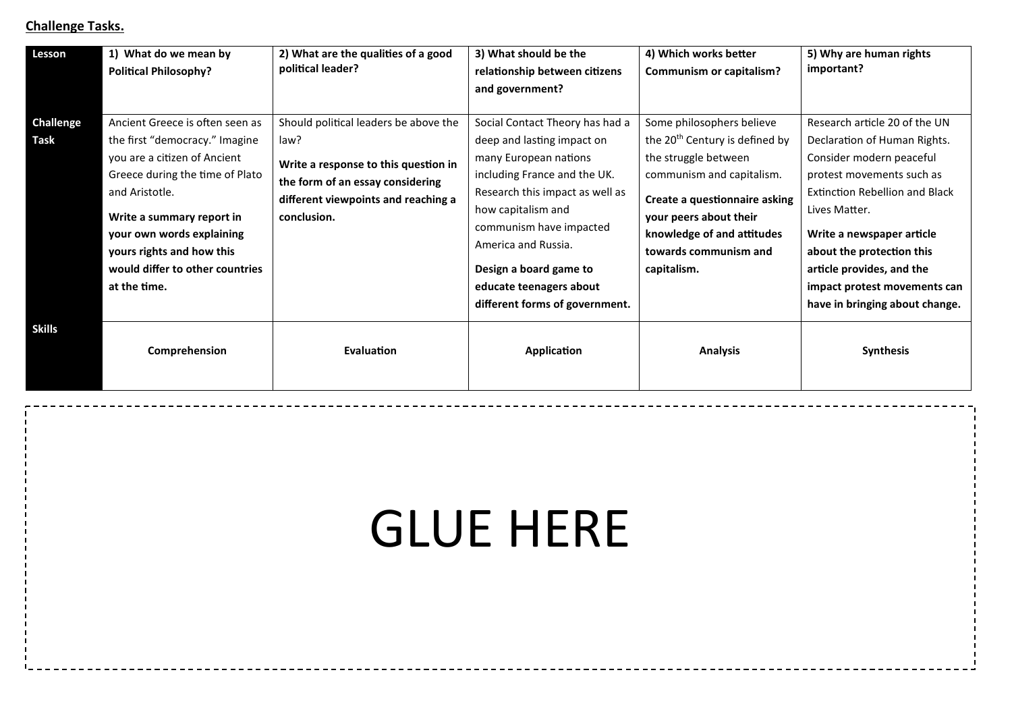# **Challenge Tasks.**

| Lesson                   | 1) What do we mean by<br><b>Political Philosophy?</b>                                                                                                                                                                                                                                            | 2) What are the qualities of a good<br>political leader?                                                                                                                        | 3) What should be the<br>relationship between citizens<br>and government?                                                                                                                                                                                                                                                | 4) Which works better<br>Communism or capitalism?                                                                                                                                                                                                             | 5) Why are human rights<br>important?                                                                                                                                                                                                                                                                                                     |
|--------------------------|--------------------------------------------------------------------------------------------------------------------------------------------------------------------------------------------------------------------------------------------------------------------------------------------------|---------------------------------------------------------------------------------------------------------------------------------------------------------------------------------|--------------------------------------------------------------------------------------------------------------------------------------------------------------------------------------------------------------------------------------------------------------------------------------------------------------------------|---------------------------------------------------------------------------------------------------------------------------------------------------------------------------------------------------------------------------------------------------------------|-------------------------------------------------------------------------------------------------------------------------------------------------------------------------------------------------------------------------------------------------------------------------------------------------------------------------------------------|
| <b>Challenge</b><br>Task | Ancient Greece is often seen as<br>the first "democracy." Imagine<br>you are a citizen of Ancient<br>Greece during the time of Plato<br>and Aristotle.<br>Write a summary report in<br>your own words explaining<br>yours rights and how this<br>would differ to other countries<br>at the time. | Should political leaders be above the<br>law?<br>Write a response to this question in<br>the form of an essay considering<br>different viewpoints and reaching a<br>conclusion. | Social Contact Theory has had a<br>deep and lasting impact on<br>many European nations<br>including France and the UK.<br>Research this impact as well as<br>how capitalism and<br>communism have impacted<br>America and Russia.<br>Design a board game to<br>educate teenagers about<br>different forms of government. | Some philosophers believe<br>the 20 <sup>th</sup> Century is defined by<br>the struggle between<br>communism and capitalism.<br>Create a questionnaire asking<br>your peers about their<br>knowledge of and attitudes<br>towards communism and<br>capitalism. | Research article 20 of the UN<br>Declaration of Human Rights.<br>Consider modern peaceful<br>protest movements such as<br><b>Extinction Rebellion and Black</b><br>Lives Matter.<br>Write a newspaper article<br>about the protection this<br>article provides, and the<br>impact protest movements can<br>have in bringing about change. |
| <b>Skills</b>            | Comprehension                                                                                                                                                                                                                                                                                    | Evaluation                                                                                                                                                                      | Application                                                                                                                                                                                                                                                                                                              | <b>Analysis</b>                                                                                                                                                                                                                                               | <b>Synthesis</b>                                                                                                                                                                                                                                                                                                                          |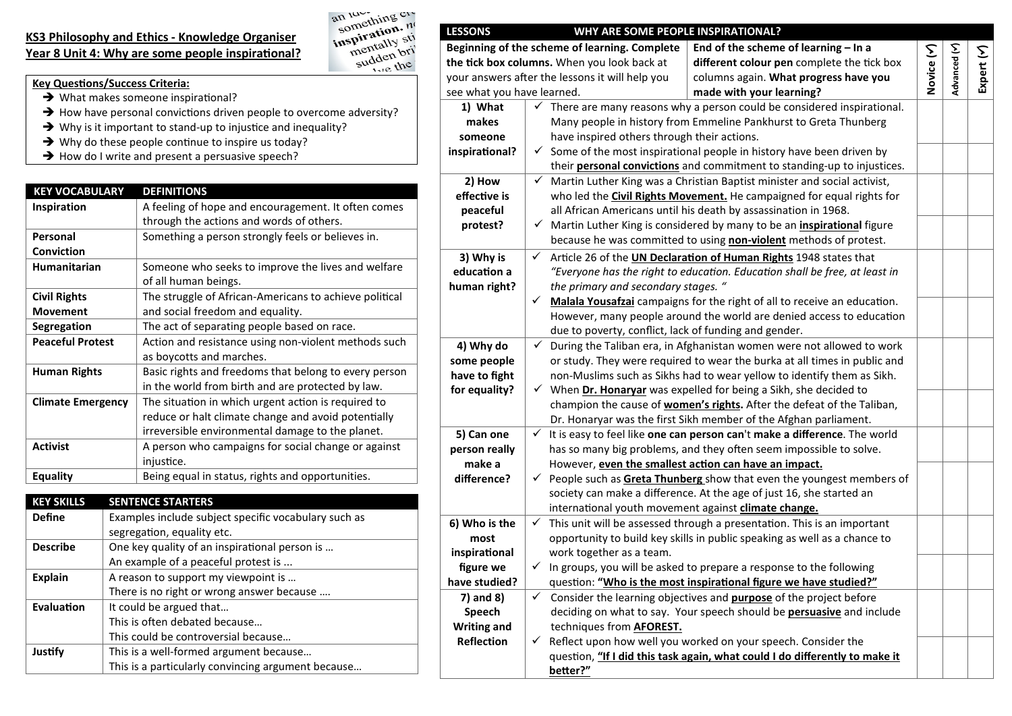### **KS3 Philosophy and Ethics - Knowledge Organiser** Year 8 Unit 4: Why are some people inspirational?



- **Key Questions/Success Criteria:**
- $\rightarrow$  What makes someone inspirational?
- $\rightarrow$  How have personal convictions driven people to overcome adversity?
- $\rightarrow$  Why is it important to stand-up to injustice and inequality?
- $\rightarrow$  Why do these people continue to inspire us today?
- $\rightarrow$  How do I write and present a persuasive speech?

| <b>KEY VOCABULARY</b>    | <b>DEFINITIONS</b>                                     |
|--------------------------|--------------------------------------------------------|
| Inspiration              | A feeling of hope and encouragement. It often comes    |
|                          | through the actions and words of others.               |
| Personal                 | Something a person strongly feels or believes in.      |
| <b>Conviction</b>        |                                                        |
| <b>Humanitarian</b>      | Someone who seeks to improve the lives and welfare     |
|                          | of all human beings.                                   |
| <b>Civil Rights</b>      | The struggle of African-Americans to achieve political |
| <b>Movement</b>          | and social freedom and equality.                       |
| Segregation              | The act of separating people based on race.            |
| <b>Peaceful Protest</b>  | Action and resistance using non-violent methods such   |
|                          | as boycotts and marches.                               |
| <b>Human Rights</b>      | Basic rights and freedoms that belong to every person  |
|                          | in the world from birth and are protected by law.      |
| <b>Climate Emergency</b> | The situation in which urgent action is required to    |
|                          | reduce or halt climate change and avoid potentially    |
|                          | irreversible environmental damage to the planet.       |
| <b>Activist</b>          | A person who campaigns for social change or against    |
|                          | injustice.                                             |
| <b>Equality</b>          | Being equal in status, rights and opportunities.       |

| <b>KEY SKILLS</b>                     | <b>SENTENCE STARTERS</b>                             |
|---------------------------------------|------------------------------------------------------|
| <b>Define</b>                         | Examples include subject specific vocabulary such as |
|                                       | segregation, equality etc.                           |
| <b>Describe</b>                       | One key quality of an inspirational person is        |
|                                       | An example of a peaceful protest is                  |
| <b>Explain</b>                        | A reason to support my viewpoint is                  |
|                                       | There is no right or wrong answer because            |
| Evaluation<br>It could be argued that |                                                      |
|                                       | This is often debated because                        |
|                                       | This could be controversial because                  |
| Justify                               | This is a well-formed argument because               |
|                                       | This is a particularly convincing argument because   |

| <b>LESSONS</b>                                  |                                                                                | WHY ARE SOME PEOPLE INSPIRATIONAL?                                           |                                                                                      |            |              |            |
|-------------------------------------------------|--------------------------------------------------------------------------------|------------------------------------------------------------------------------|--------------------------------------------------------------------------------------|------------|--------------|------------|
|                                                 |                                                                                | Beginning of the scheme of learning. Complete                                | End of the scheme of learning $-$ In a                                               |            |              |            |
| the tick box columns. When you look back at     |                                                                                |                                                                              | different colour pen complete the tick box                                           | Novice (Y) | Advanced (Y) | Expert (Y) |
| your answers after the lessons it will help you |                                                                                |                                                                              | columns again. What progress have you                                                |            |              |            |
| see what you have learned.                      |                                                                                |                                                                              | made with your learning?                                                             |            |              |            |
| 1) What                                         |                                                                                |                                                                              | There are many reasons why a person could be considered inspirational.               |            |              |            |
| makes                                           |                                                                                |                                                                              | Many people in history from Emmeline Pankhurst to Greta Thunberg                     |            |              |            |
| someone                                         |                                                                                | have inspired others through their actions.                                  |                                                                                      |            |              |            |
| inspirational?                                  | Some of the most inspirational people in history have been driven by<br>✓      |                                                                              |                                                                                      |            |              |            |
|                                                 | their <b>personal convictions</b> and commitment to standing-up to injustices. |                                                                              |                                                                                      |            |              |            |
| 2) How                                          | $\checkmark$                                                                   |                                                                              | Martin Luther King was a Christian Baptist minister and social activist,             |            |              |            |
| effective is                                    |                                                                                | who led the <b>Civil Rights Movement.</b> He campaigned for equal rights for |                                                                                      |            |              |            |
| peaceful                                        |                                                                                | all African Americans until his death by assassination in 1968.              |                                                                                      |            |              |            |
| protest?                                        | ✓                                                                              |                                                                              | Martin Luther King is considered by many to be an <i>inspirational</i> figure        |            |              |            |
|                                                 |                                                                                | because he was committed to using non-violent methods of protest.            |                                                                                      |            |              |            |
| 3) Why is                                       | ✓                                                                              |                                                                              | Article 26 of the UN Declaration of Human Rights 1948 states that                    |            |              |            |
| education a                                     |                                                                                |                                                                              | "Everyone has the right to education. Education shall be free, at least in           |            |              |            |
| human right?                                    |                                                                                | the primary and secondary stages. "                                          |                                                                                      |            |              |            |
|                                                 | ✓                                                                              |                                                                              | Malala Yousafzai campaigns for the right of all to receive an education.             |            |              |            |
|                                                 |                                                                                |                                                                              | However, many people around the world are denied access to education                 |            |              |            |
|                                                 |                                                                                | due to poverty, conflict, lack of funding and gender.                        |                                                                                      |            |              |            |
| 4) Why do                                       | $\checkmark$                                                                   |                                                                              | During the Taliban era, in Afghanistan women were not allowed to work                |            |              |            |
| some people                                     |                                                                                |                                                                              | or study. They were required to wear the burka at all times in public and            |            |              |            |
| have to fight                                   |                                                                                |                                                                              | non-Muslims such as Sikhs had to wear yellow to identify them as Sikh.               |            |              |            |
| for equality?                                   |                                                                                | $\checkmark$ When Dr. Honaryar was expelled for being a Sikh, she decided to |                                                                                      |            |              |            |
|                                                 |                                                                                | champion the cause of women's rights. After the defeat of the Taliban,       |                                                                                      |            |              |            |
|                                                 |                                                                                |                                                                              | Dr. Honaryar was the first Sikh member of the Afghan parliament.                     |            |              |            |
| 5) Can one                                      | ✓                                                                              |                                                                              | It is easy to feel like one can person can't make a difference. The world            |            |              |            |
| person really                                   |                                                                                | has so many big problems, and they often seem impossible to solve.           |                                                                                      |            |              |            |
| make a                                          |                                                                                | However, even the smallest action can have an impact.                        |                                                                                      |            |              |            |
| difference?                                     | ✓                                                                              | People such as Greta Thunberg show that even the youngest members of         |                                                                                      |            |              |            |
|                                                 |                                                                                |                                                                              | society can make a difference. At the age of just 16, she started an                 |            |              |            |
|                                                 |                                                                                | international youth movement against climate change.                         |                                                                                      |            |              |            |
| 6) Who is the                                   |                                                                                |                                                                              | $\checkmark$ This unit will be assessed through a presentation. This is an important |            |              |            |
| most                                            |                                                                                |                                                                              | opportunity to build key skills in public speaking as well as a chance to            |            |              |            |
| inspirational                                   |                                                                                | work together as a team.                                                     |                                                                                      |            |              |            |
| figure we                                       |                                                                                |                                                                              | $\checkmark$ In groups, you will be asked to prepare a response to the following     |            |              |            |
| have studied?                                   |                                                                                | question: "Who is the most inspirational figure we have studied?"            |                                                                                      |            |              |            |
| 7) and 8)                                       | $\checkmark$                                                                   | Consider the learning objectives and <b>purpose</b> of the project before    |                                                                                      |            |              |            |
| Speech                                          |                                                                                | deciding on what to say. Your speech should be <b>persuasive</b> and include |                                                                                      |            |              |            |
| <b>Writing and</b>                              |                                                                                | techniques from <b>AFOREST.</b>                                              |                                                                                      |            |              |            |
| <b>Reflection</b>                               | ✓                                                                              |                                                                              | Reflect upon how well you worked on your speech. Consider the                        |            |              |            |
|                                                 |                                                                                |                                                                              | question, "If I did this task again, what could I do differently to make it          |            |              |            |
|                                                 |                                                                                | better?"                                                                     |                                                                                      |            |              |            |
|                                                 |                                                                                |                                                                              |                                                                                      |            |              |            |